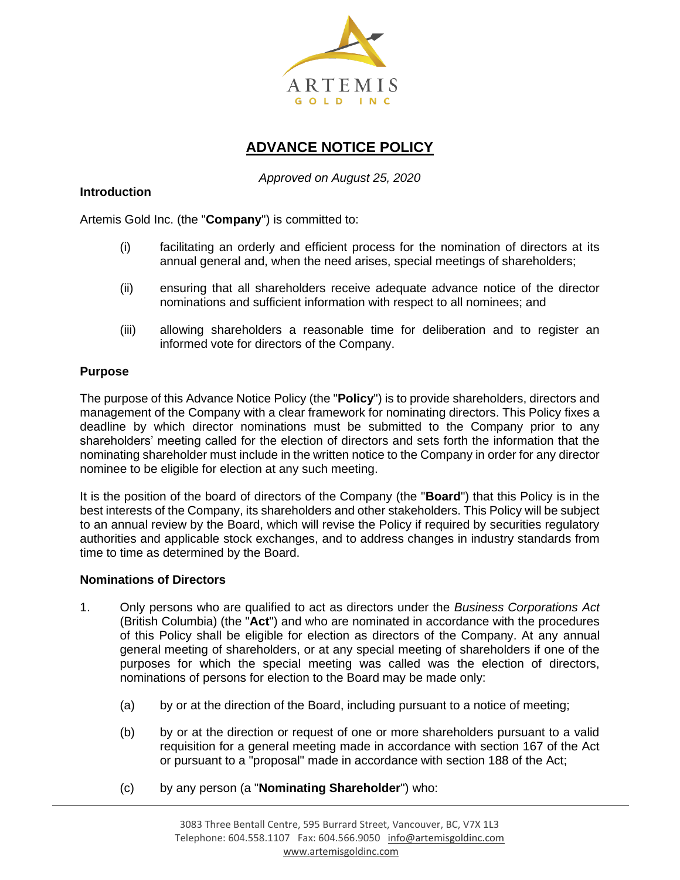

# **ADVANCE NOTICE POLICY**

*Approved on August 25, 2020*

## **Introduction**

Artemis Gold Inc. (the "**Company**") is committed to:

- (i) facilitating an orderly and efficient process for the nomination of directors at its annual general and, when the need arises, special meetings of shareholders;
- (ii) ensuring that all shareholders receive adequate advance notice of the director nominations and sufficient information with respect to all nominees; and
- (iii) allowing shareholders a reasonable time for deliberation and to register an informed vote for directors of the Company.

### **Purpose**

The purpose of this Advance Notice Policy (the "**Policy**") is to provide shareholders, directors and management of the Company with a clear framework for nominating directors. This Policy fixes a deadline by which director nominations must be submitted to the Company prior to any shareholders' meeting called for the election of directors and sets forth the information that the nominating shareholder must include in the written notice to the Company in order for any director nominee to be eligible for election at any such meeting.

It is the position of the board of directors of the Company (the "**Board**") that this Policy is in the best interests of the Company, its shareholders and other stakeholders. This Policy will be subject to an annual review by the Board, which will revise the Policy if required by securities regulatory authorities and applicable stock exchanges, and to address changes in industry standards from time to time as determined by the Board.

#### **Nominations of Directors**

- 1. Only persons who are qualified to act as directors under the *Business Corporations Act*  (British Columbia) (the "**Act**") and who are nominated in accordance with the procedures of this Policy shall be eligible for election as directors of the Company. At any annual general meeting of shareholders, or at any special meeting of shareholders if one of the purposes for which the special meeting was called was the election of directors, nominations of persons for election to the Board may be made only:
	- (a) by or at the direction of the Board, including pursuant to a notice of meeting;
	- (b) by or at the direction or request of one or more shareholders pursuant to a valid requisition for a general meeting made in accordance with section 167 of the Act or pursuant to a "proposal" made in accordance with section 188 of the Act;
	- (c) by any person (a "**Nominating Shareholder**") who: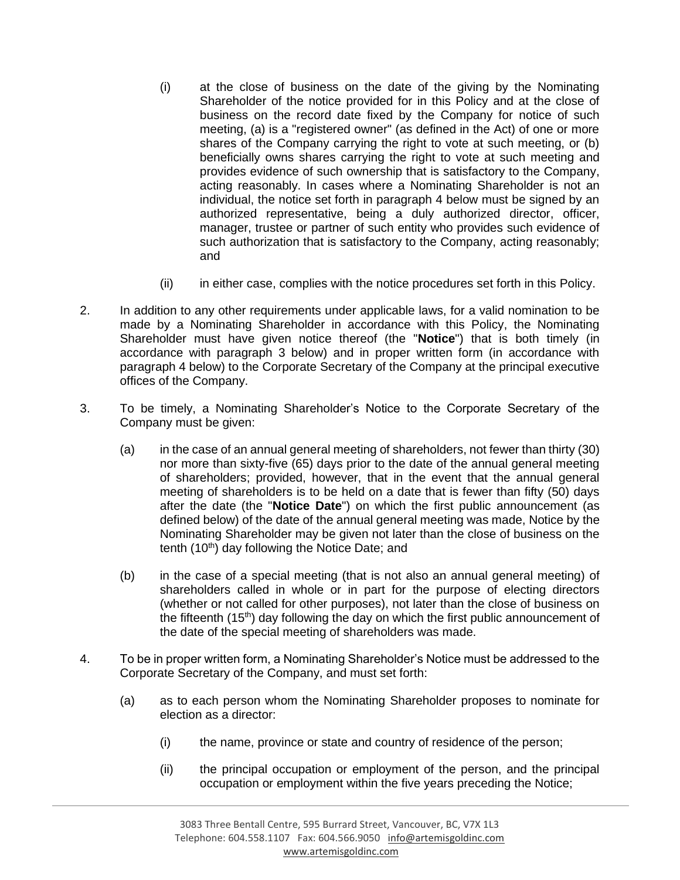- (i) at the close of business on the date of the giving by the Nominating Shareholder of the notice provided for in this Policy and at the close of business on the record date fixed by the Company for notice of such meeting, (a) is a "registered owner" (as defined in the Act) of one or more shares of the Company carrying the right to vote at such meeting, or (b) beneficially owns shares carrying the right to vote at such meeting and provides evidence of such ownership that is satisfactory to the Company, acting reasonably. In cases where a Nominating Shareholder is not an individual, the notice set forth in paragraph 4 below must be signed by an authorized representative, being a duly authorized director, officer, manager, trustee or partner of such entity who provides such evidence of such authorization that is satisfactory to the Company, acting reasonably; and
- (ii) in either case, complies with the notice procedures set forth in this Policy.
- 2. In addition to any other requirements under applicable laws, for a valid nomination to be made by a Nominating Shareholder in accordance with this Policy, the Nominating Shareholder must have given notice thereof (the "**Notice**") that is both timely (in accordance with paragraph 3 below) and in proper written form (in accordance with paragraph 4 below) to the Corporate Secretary of the Company at the principal executive offices of the Company.
- 3. To be timely, a Nominating Shareholder's Notice to the Corporate Secretary of the Company must be given:
	- (a) in the case of an annual general meeting of shareholders, not fewer than thirty (30) nor more than sixty-five (65) days prior to the date of the annual general meeting of shareholders; provided, however, that in the event that the annual general meeting of shareholders is to be held on a date that is fewer than fifty (50) days after the date (the "**Notice Date**") on which the first public announcement (as defined below) of the date of the annual general meeting was made, Notice by the Nominating Shareholder may be given not later than the close of business on the tenth (10<sup>th</sup>) day following the Notice Date; and
	- (b) in the case of a special meeting (that is not also an annual general meeting) of shareholders called in whole or in part for the purpose of electing directors (whether or not called for other purposes), not later than the close of business on the fifteenth (15<sup>th</sup>) day following the day on which the first public announcement of the date of the special meeting of shareholders was made.
- 4. To be in proper written form, a Nominating Shareholder's Notice must be addressed to the Corporate Secretary of the Company, and must set forth:
	- (a) as to each person whom the Nominating Shareholder proposes to nominate for election as a director:
		- (i) the name, province or state and country of residence of the person;
		- (ii) the principal occupation or employment of the person, and the principal occupation or employment within the five years preceding the Notice;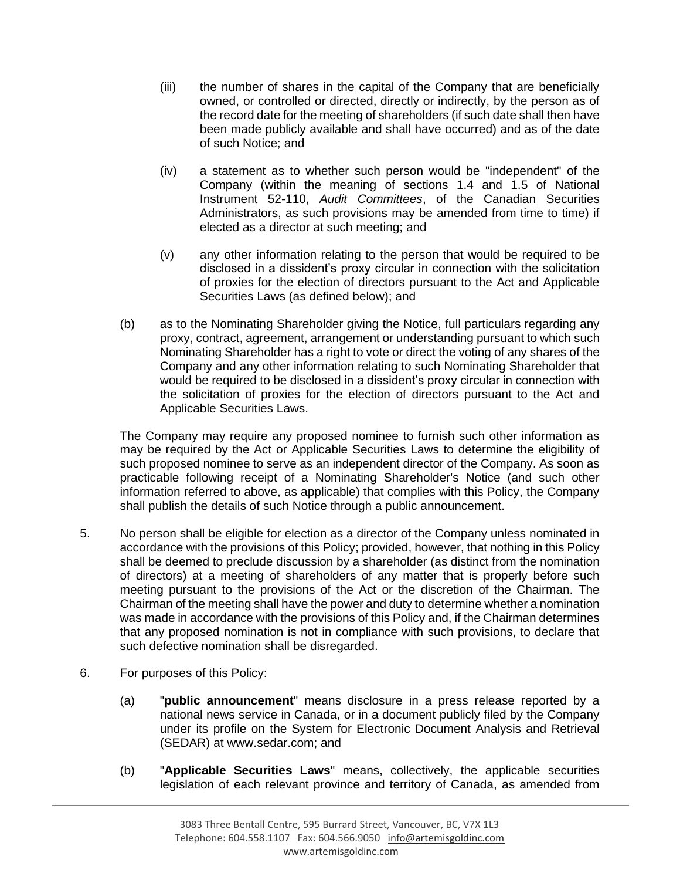- (iii) the number of shares in the capital of the Company that are beneficially owned, or controlled or directed, directly or indirectly, by the person as of the record date for the meeting of shareholders (if such date shall then have been made publicly available and shall have occurred) and as of the date of such Notice; and
- (iv) a statement as to whether such person would be "independent" of the Company (within the meaning of sections 1.4 and 1.5 of National Instrument 52-110, *Audit Committees*, of the Canadian Securities Administrators, as such provisions may be amended from time to time) if elected as a director at such meeting; and
- (v) any other information relating to the person that would be required to be disclosed in a dissident's proxy circular in connection with the solicitation of proxies for the election of directors pursuant to the Act and Applicable Securities Laws (as defined below); and
- (b) as to the Nominating Shareholder giving the Notice, full particulars regarding any proxy, contract, agreement, arrangement or understanding pursuant to which such Nominating Shareholder has a right to vote or direct the voting of any shares of the Company and any other information relating to such Nominating Shareholder that would be required to be disclosed in a dissident's proxy circular in connection with the solicitation of proxies for the election of directors pursuant to the Act and Applicable Securities Laws.

The Company may require any proposed nominee to furnish such other information as may be required by the Act or Applicable Securities Laws to determine the eligibility of such proposed nominee to serve as an independent director of the Company. As soon as practicable following receipt of a Nominating Shareholder's Notice (and such other information referred to above, as applicable) that complies with this Policy, the Company shall publish the details of such Notice through a public announcement.

- 5. No person shall be eligible for election as a director of the Company unless nominated in accordance with the provisions of this Policy; provided, however, that nothing in this Policy shall be deemed to preclude discussion by a shareholder (as distinct from the nomination of directors) at a meeting of shareholders of any matter that is properly before such meeting pursuant to the provisions of the Act or the discretion of the Chairman. The Chairman of the meeting shall have the power and duty to determine whether a nomination was made in accordance with the provisions of this Policy and, if the Chairman determines that any proposed nomination is not in compliance with such provisions, to declare that such defective nomination shall be disregarded.
- 6. For purposes of this Policy:
	- (a) "**public announcement**" means disclosure in a press release reported by a national news service in Canada, or in a document publicly filed by the Company under its profile on the System for Electronic Document Analysis and Retrieval (SEDAR) at www.sedar.com; and
	- (b) "**Applicable Securities Laws**" means, collectively, the applicable securities legislation of each relevant province and territory of Canada, as amended from